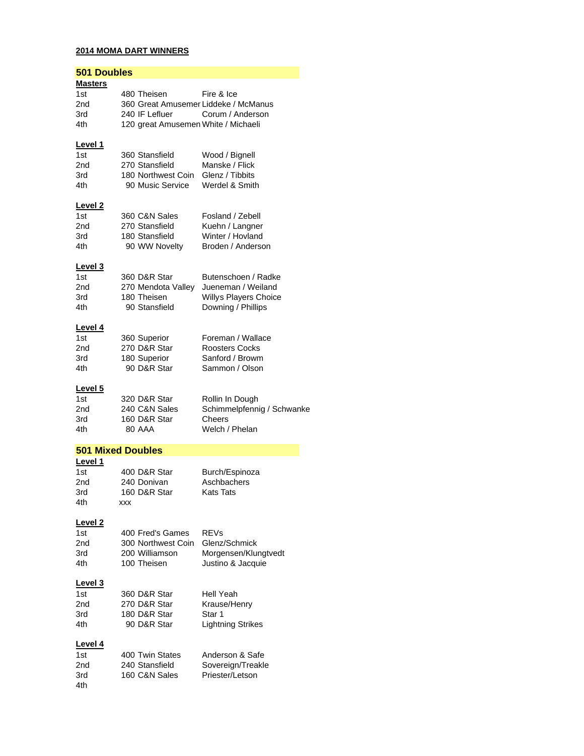# **2014 MOMA DART WINNERS**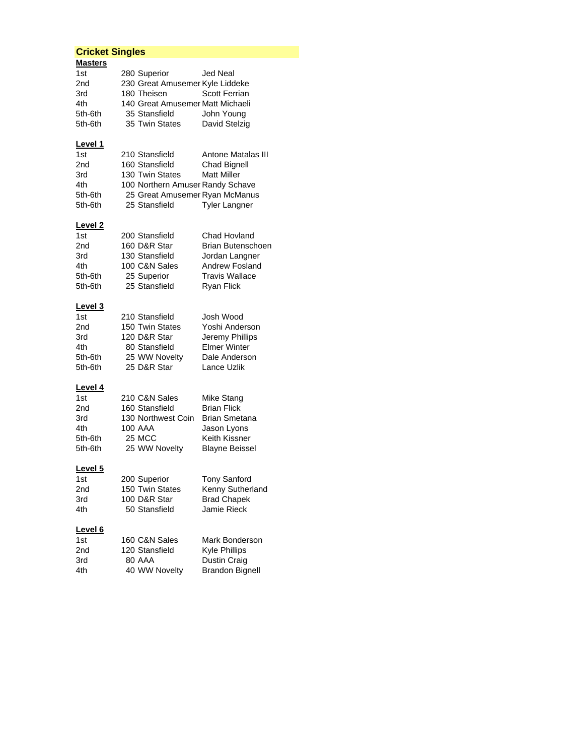## **Cricket Singles**

| <b>Masters</b><br>1st<br>2nd<br>3rd<br>4th<br>5th-6th<br>5th-6th | 280 Superior<br>230 Great Amusemer Kyle Liddeke<br>180 Theisen<br>140 Great Amusemer Matt Michaeli<br>35 Stansfield<br>35 Twin States      | Jed Neal<br><b>Scott Ferrian</b><br>John Young<br>David Stelzig                                                   |
|------------------------------------------------------------------|--------------------------------------------------------------------------------------------------------------------------------------------|-------------------------------------------------------------------------------------------------------------------|
| Level 1<br>1st<br>2nd<br>3rd<br>4th<br>5th-6th<br>5th-6th        | 210 Stansfield<br>160 Stansfield<br>130 Twin States<br>100 Northern Amuser Randy Schave<br>25 Great Amusemer Ryan McManus<br>25 Stansfield | Antone Matalas III<br>Chad Bignell<br><b>Matt Miller</b><br><b>Tyler Langner</b>                                  |
| <u>Level 2</u><br>1st<br>2nd<br>3rd<br>4th<br>5th-6th<br>5th-6th | 200 Stansfield<br>160 D&R Star<br>130 Stansfield<br>100 C&N Sales<br>25 Superior<br>25 Stansfield                                          | Chad Hovland<br>Brian Butenschoen<br>Jordan Langner<br>Andrew Fosland<br>Travis Wallace<br><b>Ryan Flick</b>      |
| <u>Level 3</u><br>1st<br>2nd<br>3rd<br>4th<br>5th-6th<br>5th-6th | 210 Stansfield<br>150 Twin States<br>120 D&R Star<br>80 Stansfield<br>25 WW Novelty<br>25 D&R Star                                         | Josh Wood<br>Yoshi Anderson<br>Jeremy Phillips<br><b>Elmer Winter</b><br>Dale Anderson<br>Lance Uzlik             |
| Level 4<br>1st<br>2nd<br>3rd<br>4th<br>5th-6th<br>5th-6th        | 210 C&N Sales<br>160 Stansfield<br>130 Northwest Coin<br>100 AAA<br>25 MCC<br>25 WW Novelty                                                | Mike Stang<br><b>Brian Flick</b><br><b>Brian Smetana</b><br>Jason Lyons<br>Keith Kissner<br><b>Blayne Beissel</b> |
| Level <sub>5</sub><br>1st<br>2nd<br>3rd<br>4th                   | 200 Superior<br>150 Twin States<br>100 D&R Star<br>50 Stansfield                                                                           | <b>Tony Sanford</b><br>Kenny Sutherland<br><b>Brad Chapek</b><br><b>Jamie Rieck</b>                               |
| <u>Level 6</u><br>1st<br>2nd<br>3rd<br>4th                       | 160 C&N Sales<br>120 Stansfield<br><b>80 AAA</b><br>40 WW Novelty                                                                          | Mark Bonderson<br><b>Kyle Phillips</b><br>Dustin Craig<br><b>Brandon Bignell</b>                                  |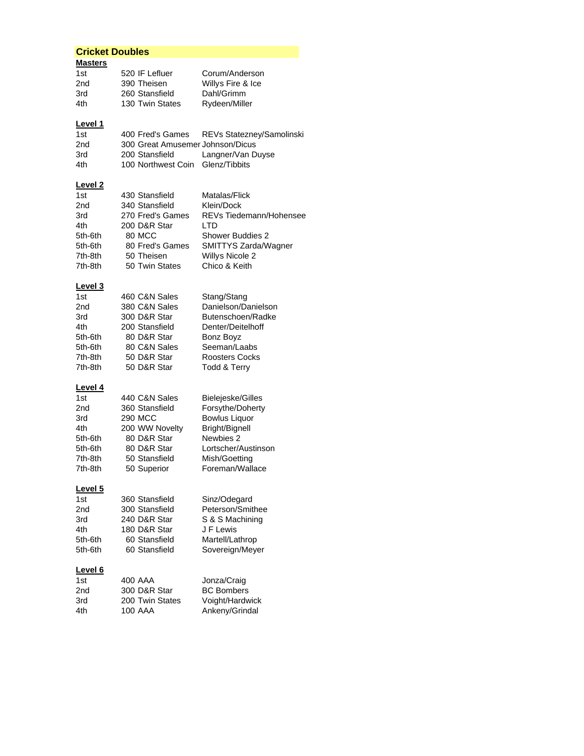## **Cricket Doubles Masters** 1st 520 IF Lefluer Corum/Anderson 2nd 390 Theisen Willys Fire & Ice<br>3rd 260 Stansfield Dahl/Grimm 3rd 260 Stansfield 4th 130 Twin States Rydeen/Miller **Level 1** 1st 400 Fred's Games REVs Statezney/Samolinski 2nd 300 Great Amusemer Johnson/Dicus 3rd 200 Stansfield Langner/Van Duyse 4th 100 Northwest Coin Glenz/Tibbits **Level 2** 1st 430 Stansfield Matalas/Flick<br>2nd 340 Stansfield Klein/Dock 2nd 340 Stansfield<br>3rd 270 Fred's Games 3rd 270 Fred's Games REVs Tiedemann/Hohensee<br>4th 200 D&R Star LTD 4th 200 D&R Star<br>5th-6th 80 MCC Shower Buddies 2 5th-6th 80 Fred's Games SMITTYS Zarda/Wagner 7th-8th 50 Theisen Willys Nicole 2 7th-8th 50 Twin States Chico & Keith **Level 3** 1st 460 C&N Sales Stang/Stang 2nd 380 C&N Sales Danielson/Danielson 3rd 300 D&R Star Butenschoen/Radke 4th 200 Stansfield Denter/Deitelhoff 5th-6th 80 D&R Star Bonz Boyz 5th-6th 80 C&N Sales Seeman/Laabs 7th-8th 50 D&R Star Roosters Cocks 7th-8th 50 D&R Star Todd & Terry **Level 4** 1st 440 C&N Sales Bielejeske/Gilles 2nd 360 Stansfield Forsythe/Doherty 3rd 290 MCC Bowlus Liquor 4th 200 WW Novelty Bright/Bignell 5th-6th 80 D&R Star Newbies 2 5th-6th 80 D&R Star Lortscher/Austinson 7th-8th 50 Stansfield Mish/Goetting 7th-8th 50 Superior Foreman/Wallace **Level 5** 1st 360 Stansfield Sinz/Odegard 2nd 300 Stansfield Peterson/Smithee 3rd 240 D&R Star S & S Machining 4th 180 D&R Star J F Lewis 5th-6th 60 Stansfield Martell/Lathrop

#### **Level 6**

| 1 <sub>st</sub> | 400 AAA         | Jonza/Craig       |
|-----------------|-----------------|-------------------|
| 2nd             | 300 D&R Star    | <b>BC Bombers</b> |
| 3rd             | 200 Twin States | Voight/Hardwick   |
| 4th             | 100 AAA         | Ankeny/Grindal    |

5th-6th 60 Stansfield Sovereign/Meyer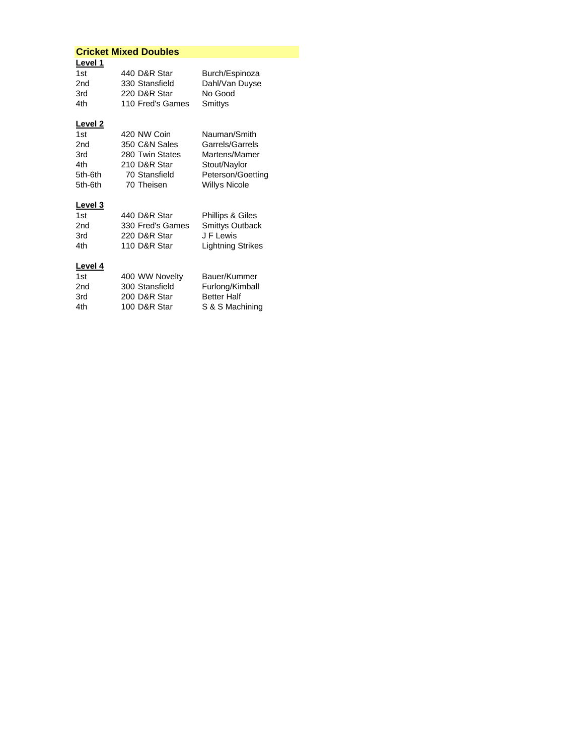| <b>Cricket Mixed Doubles</b> |                  |                        |
|------------------------------|------------------|------------------------|
| Level 1                      |                  |                        |
| 1st                          | 440 D&R Star     | Burch/Espinoza         |
| 2nd                          | 330 Stansfield   | Dahl/Van Duyse         |
| 3rd                          | 220 D&R Star     | No Good                |
| 4th                          | 110 Fred's Games | Smittys                |
| Level 2                      |                  |                        |
| 1st                          | 420 NW Coin      | Nauman/Smith           |
| 2nd                          | 350 C&N Sales    | Garrels/Garrels        |
| 3rd                          | 280 Twin States  | Martens/Mamer          |
| 4th                          | 210 D&R Star     | Stout/Naylor           |
| 5th-6th                      | 70 Stansfield    | Peterson/Goetting      |
| 5th-6th                      | 70 Theisen       | <b>Willys Nicole</b>   |
| <b>Level 3</b>               |                  |                        |
| 1st                          | 440 D&R Star     | Phillips & Giles       |
| 2nd                          | 330 Fred's Games | <b>Smittys Outback</b> |
| 3rd                          | 220 D&R Star     | J F Lewis              |
| 4th                          | 110 D&R Star     | Lightning Strikes      |
| <b>Level 4</b>               |                  |                        |
| 1st                          | 400 WW Novelty   | Bauer/Kummer           |
| 2nd                          | 300 Stansfield   | Furlong/Kimball        |
| 3rd                          | 200 D&R Star     | <b>Better Half</b>     |
| 4th                          | 100 D&R Star     | S & S Machining        |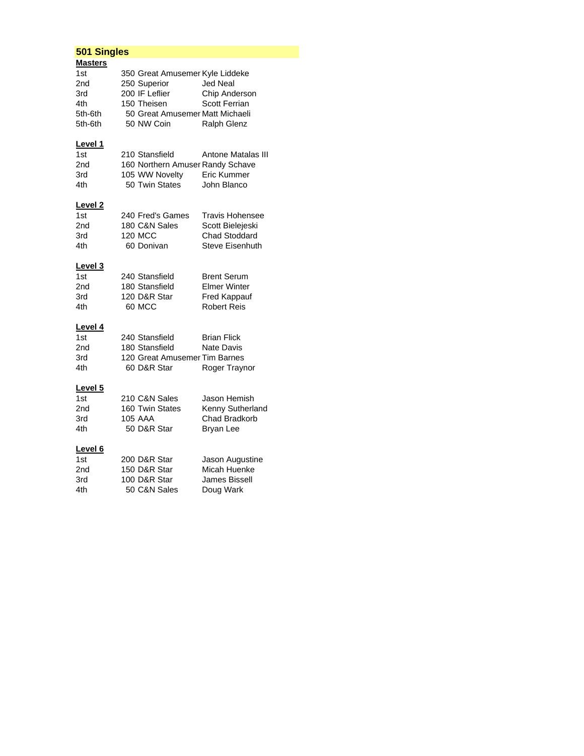# **501 Singles**

| <b>Masters</b>     |                                  |                        |
|--------------------|----------------------------------|------------------------|
| 1st                | 350 Great Amusemer Kyle Liddeke  |                        |
| 2nd                | 250 Superior                     | <b>Jed Neal</b>        |
| 3rd                | 200 IF Leflier                   | Chip Anderson          |
| 4th                | 150 Theisen                      | <b>Scott Ferrian</b>   |
| 5th-6th            | 50 Great Amusemer Matt Michaeli  |                        |
| 5th-6th            | 50 NW Coin                       | <b>Ralph Glenz</b>     |
| <u>Level 1</u>     |                                  |                        |
| 1st                | 210 Stansfield                   | Antone Matalas III     |
| 2nd                | 160 Northern Amuser Randy Schave |                        |
| 3rd                | 105 WW Novelty                   | Eric Kummer            |
| 4th                | 50 Twin States                   | John Blanco            |
| Level <sub>2</sub> |                                  |                        |
| 1st                | 240 Fred's Games                 | <b>Travis Hohensee</b> |
| 2nd                | 180 C&N Sales                    | Scott Bielejeski       |
| 3rd                | <b>120 MCC</b>                   | <b>Chad Stoddard</b>   |
| 4th                | 60 Donivan                       | <b>Steve Eisenhuth</b> |
| Level <sub>3</sub> |                                  |                        |
| 1st                | 240 Stansfield                   | <b>Brent Serum</b>     |
| 2nd                | 180 Stansfield                   | <b>Elmer Winter</b>    |
| 3rd                | 120 D&R Star                     | <b>Fred Kappauf</b>    |
| 4th                | 60 MCC                           | <b>Robert Reis</b>     |
| Level 4            |                                  |                        |
| 1st                | 240 Stansfield                   | <b>Brian Flick</b>     |
| 2nd                | 180 Stansfield                   | Nate Davis             |
| 3rd                | 120 Great Amusemer Tim Barnes    |                        |
| 4th                | 60 D&R Star                      | Roger Traynor          |
| Level <sub>5</sub> |                                  |                        |
| 1st                | 210 C&N Sales                    | Jason Hemish           |
| 2nd                | 160 Twin States                  | Kenny Sutherland       |
| 3rd                | <b>105 AAA</b>                   | Chad Bradkorb          |
| 4th                | 50 D&R Star                      | <b>Bryan Lee</b>       |
| Level 6            |                                  |                        |
| 1st                | 200 D&R Star                     | Jason Augustine        |
| 2nd                | 150 D&R Star                     | Micah Huenke           |
| 3rd                | 100 D&R Star                     | James Bissell          |
| 4th                | 50 C&N Sales                     | Doug Wark              |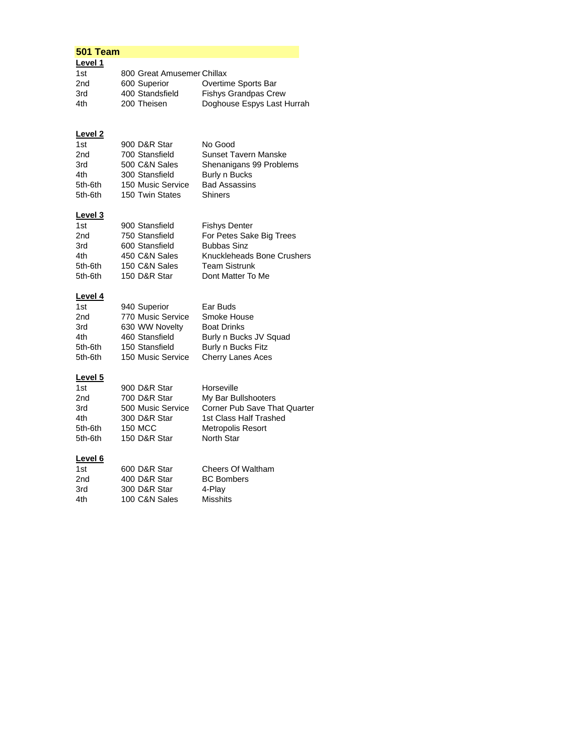#### **501 Team**

| Level 1 |                            |                             |
|---------|----------------------------|-----------------------------|
| 1st     | 800 Great Amusemer Chillax |                             |
| 2nd     | 600 Superior               | Overtime Sports Bar         |
| 3rd     | 400 Standsfield            | <b>Fishys Grandpas Crew</b> |
| 4th     | 200 Theisen                | Doghouse Espys Last Hurrah  |

## **Level 2**

| 1st             | 900 D&R Star      | No Good                     |
|-----------------|-------------------|-----------------------------|
| 2 <sub>nd</sub> | 700 Stansfield    | <b>Sunset Tavern Manske</b> |
| 3rd             | 500 C&N Sales     | Shenanigans 99 Problems     |
| 4th             | 300 Stansfield    | Burly n Bucks               |
| 5th-6th         | 150 Music Service | <b>Bad Assassins</b>        |
| 5th-6th         | 150 Twin States   | <b>Shiners</b>              |
|                 |                   |                             |

## **Level 3**

| 1st     | 900 Stansfield | <b>Fishys Denter</b>       |
|---------|----------------|----------------------------|
| 2nd     | 750 Stansfield | For Petes Sake Big Trees   |
| 3rd     | 600 Stansfield | <b>Bubbas Sinz</b>         |
| 4th     | 450 C&N Sales  | Knuckleheads Bone Crushers |
| 5th-6th | 150 C&N Sales  | <b>Team Sistrunk</b>       |
| 5th-6th | 150 D&R Star   | Dont Matter To Me          |

## **Level 4**

| 1st     | 940 Superior      | Ear Buds               |
|---------|-------------------|------------------------|
| 2nd     | 770 Music Service | Smoke House            |
| 3rd     | 630 WW Novelty    | <b>Boat Drinks</b>     |
| 4th     | 460 Stansfield    | Burly n Bucks JV Squad |
| 5th-6th | 150 Stansfield    | Burly n Bucks Fitz     |
| 5th-6th | 150 Music Service | Cherry Lanes Aces      |

#### **Level 5**

| 1st             | 900 D&R Star      | Horseville                          |
|-----------------|-------------------|-------------------------------------|
| 2 <sub>nd</sub> | 700 D&R Star      | My Bar Bullshooters                 |
| 3rd             | 500 Music Service | <b>Corner Pub Save That Quarter</b> |
| 4th             | 300 D&R Star      | 1st Class Half Trashed              |
| 5th-6th         | 150 MCC           | <b>Metropolis Resort</b>            |
| 5th-6th         | 150 D&R Star      | North Star                          |
|                 |                   |                                     |

# **Level 6**

| 1st | 600 D&R Star  | Cheers Of Waltham |
|-----|---------------|-------------------|
| 2nd | 400 D&R Star  | <b>BC</b> Bombers |
| 3rd | 300 D&R Star  | 4-Play            |
| 4th | 100 C&N Sales | Misshits          |